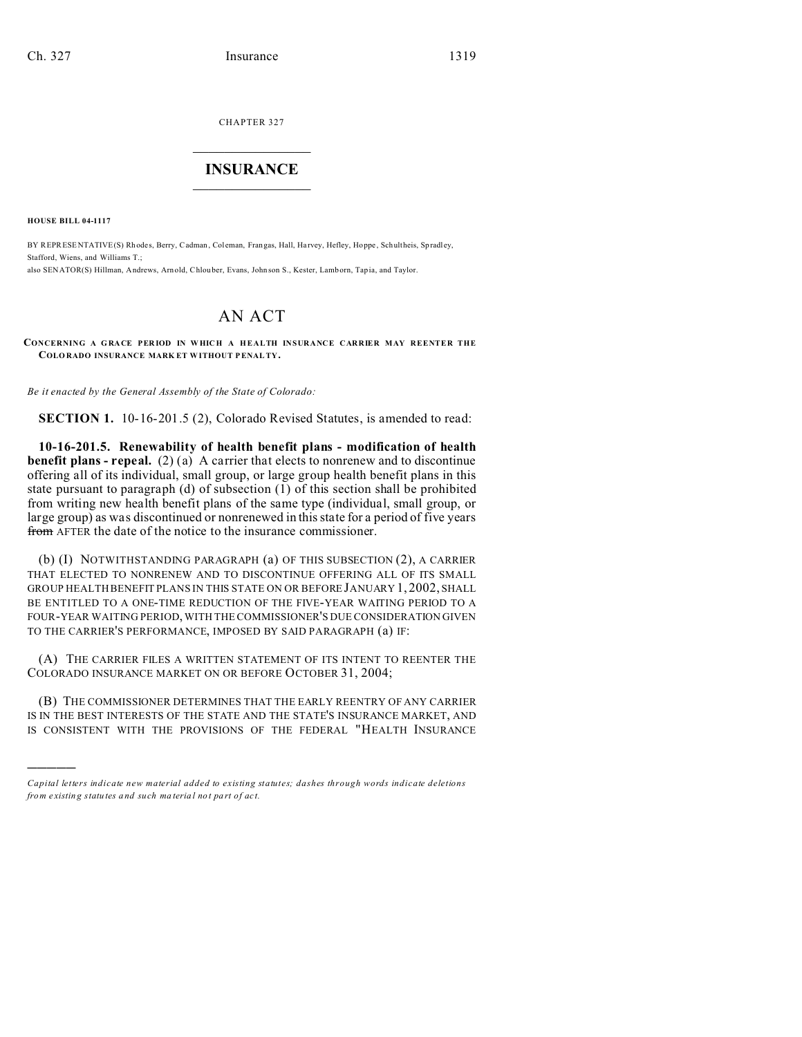CHAPTER 327  $\overline{\phantom{a}}$  , where  $\overline{\phantom{a}}$ 

## **INSURANCE**  $\_$   $\_$   $\_$   $\_$   $\_$   $\_$   $\_$

**HOUSE BILL 04-1117**

)))))

BY REPRESENTATIVE(S) Rhodes, Berry, Cadman, Coleman, Frangas, Hall, Harvey, Hefley, Hoppe, Schultheis, Spradley, Stafford, Wiens, and Williams T.; also SENATOR(S) Hillman, Andrews, Arnold, Chlou ber, Evans, John son S., Kester, Lamborn, Tapia, and Taylor.

## AN ACT

**CONCERNING A G RACE PER IOD IN W HIC H A H EALTH INSURANCE CARRIER MAY REENTER THE COLO RADO INSURANCE MARK ET WITHOUT PENALTY.**

*Be it enacted by the General Assembly of the State of Colorado:*

**SECTION 1.** 10-16-201.5 (2), Colorado Revised Statutes, is amended to read:

**10-16-201.5. Renewability of health benefit plans - modification of health benefit plans - repeal.** (2) (a) A carrier that elects to nonrenew and to discontinue offering all of its individual, small group, or large group health benefit plans in this state pursuant to paragraph (d) of subsection (1) of this section shall be prohibited from writing new health benefit plans of the same type (individual, small group, or large group) as was discontinued or nonrenewed in this state for a period of five years from AFTER the date of the notice to the insurance commissioner.

(b) (I) NOTWITHSTANDING PARAGRAPH (a) OF THIS SUBSECTION (2), A CARRIER THAT ELECTED TO NONRENEW AND TO DISCONTINUE OFFERING ALL OF ITS SMALL GROUP HEALTH BENEFIT PLANS IN THIS STATE ON OR BEFORE JANUARY 1, 2002, SHALL BE ENTITLED TO A ONE-TIME REDUCTION OF THE FIVE-YEAR WAITING PERIOD TO A FOUR-YEAR WAITING PERIOD, WITH THE COMMISSIONER'S DUE CONSIDERATION GIVEN TO THE CARRIER'S PERFORMANCE, IMPOSED BY SAID PARAGRAPH (a) IF:

(A) THE CARRIER FILES A WRITTEN STATEMENT OF ITS INTENT TO REENTER THE COLORADO INSURANCE MARKET ON OR BEFORE OCTOBER 31, 2004;

(B) THE COMMISSIONER DETERMINES THAT THE EARLY REENTRY OF ANY CARRIER IS IN THE BEST INTERESTS OF THE STATE AND THE STATE'S INSURANCE MARKET, AND IS CONSISTENT WITH THE PROVISIONS OF THE FEDERAL "HEALTH INSURANCE

*Capital letters indicate new material added to existing statutes; dashes through words indicate deletions from e xistin g statu tes a nd such ma teria l no t pa rt of ac t.*